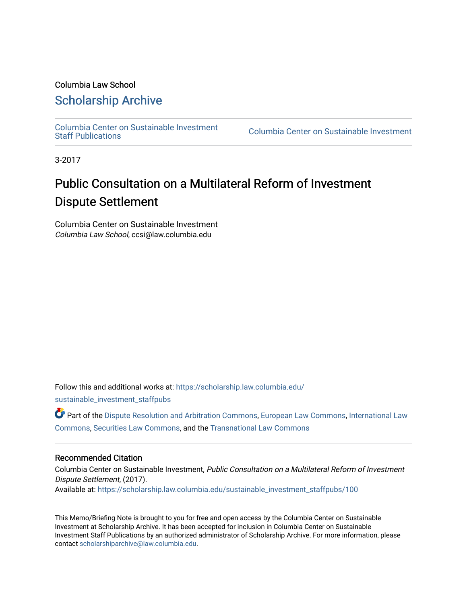### Columbia Law School

## [Scholarship Archive](https://scholarship.law.columbia.edu/)

[Columbia Center on Sustainable Investment](https://scholarship.law.columbia.edu/sustainable_investment_staffpubs) 

Columbia Center on Sustainable Investment

3-2017

# Public Consultation on a Multilateral Reform of Investment Dispute Settlement

Columbia Center on Sustainable Investment Columbia Law School, ccsi@law.columbia.edu

Follow this and additional works at: [https://scholarship.law.columbia.edu/](https://scholarship.law.columbia.edu/sustainable_investment_staffpubs?utm_source=scholarship.law.columbia.edu%2Fsustainable_investment_staffpubs%2F100&utm_medium=PDF&utm_campaign=PDFCoverPages)

[sustainable\\_investment\\_staffpubs](https://scholarship.law.columbia.edu/sustainable_investment_staffpubs?utm_source=scholarship.law.columbia.edu%2Fsustainable_investment_staffpubs%2F100&utm_medium=PDF&utm_campaign=PDFCoverPages)

Part of the [Dispute Resolution and Arbitration Commons,](http://network.bepress.com/hgg/discipline/890?utm_source=scholarship.law.columbia.edu%2Fsustainable_investment_staffpubs%2F100&utm_medium=PDF&utm_campaign=PDFCoverPages) [European Law Commons](http://network.bepress.com/hgg/discipline/1084?utm_source=scholarship.law.columbia.edu%2Fsustainable_investment_staffpubs%2F100&utm_medium=PDF&utm_campaign=PDFCoverPages), [International Law](http://network.bepress.com/hgg/discipline/609?utm_source=scholarship.law.columbia.edu%2Fsustainable_investment_staffpubs%2F100&utm_medium=PDF&utm_campaign=PDFCoverPages)  [Commons](http://network.bepress.com/hgg/discipline/609?utm_source=scholarship.law.columbia.edu%2Fsustainable_investment_staffpubs%2F100&utm_medium=PDF&utm_campaign=PDFCoverPages), [Securities Law Commons,](http://network.bepress.com/hgg/discipline/619?utm_source=scholarship.law.columbia.edu%2Fsustainable_investment_staffpubs%2F100&utm_medium=PDF&utm_campaign=PDFCoverPages) and the [Transnational Law Commons](http://network.bepress.com/hgg/discipline/1123?utm_source=scholarship.law.columbia.edu%2Fsustainable_investment_staffpubs%2F100&utm_medium=PDF&utm_campaign=PDFCoverPages) 

### Recommended Citation

Columbia Center on Sustainable Investment, Public Consultation on a Multilateral Reform of Investment Dispute Settlement, (2017). Available at: [https://scholarship.law.columbia.edu/sustainable\\_investment\\_staffpubs/100](https://scholarship.law.columbia.edu/sustainable_investment_staffpubs/100?utm_source=scholarship.law.columbia.edu%2Fsustainable_investment_staffpubs%2F100&utm_medium=PDF&utm_campaign=PDFCoverPages) 

This Memo/Briefing Note is brought to you for free and open access by the Columbia Center on Sustainable Investment at Scholarship Archive. It has been accepted for inclusion in Columbia Center on Sustainable Investment Staff Publications by an authorized administrator of Scholarship Archive. For more information, please contact [scholarshiparchive@law.columbia.edu.](mailto:scholarshiparchive@law.columbia.edu)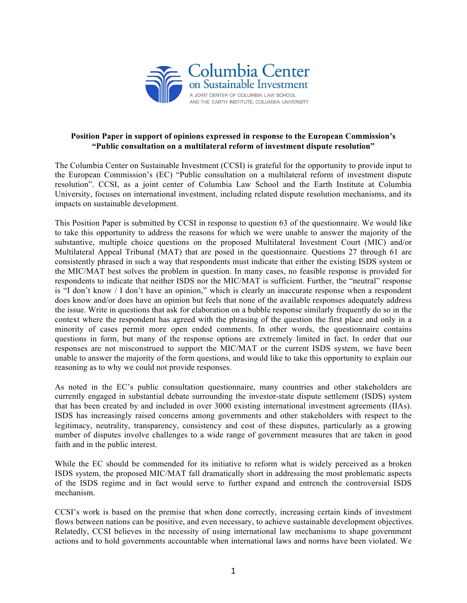

#### **Position Paper in support of opinions expressed in response to the European Commission's "Public consultation on a multilateral reform of investment dispute resolution"**

The Columbia Center on Sustainable Investment (CCSI) is grateful for the opportunity to provide input to the European Commission's (EC) "Public consultation on a multilateral reform of investment dispute resolution". CCSI, as a joint center of Columbia Law School and the Earth Institute at Columbia University, focuses on international investment, including related dispute resolution mechanisms, and its impacts on sustainable development.

This Position Paper is submitted by CCSI in response to question 63 of the questionnaire. We would like to take this opportunity to address the reasons for which we were unable to answer the majority of the substantive, multiple choice questions on the proposed Multilateral Investment Court (MIC) and/or Multilateral Appeal Tribunal (MAT) that are posed in the questionnaire. Questions 27 through 61 are consistently phrased in such a way that respondents must indicate that either the existing ISDS system or the MIC/MAT best solves the problem in question. In many cases, no feasible response is provided for respondents to indicate that neither ISDS nor the MIC/MAT is sufficient. Further, the "neutral" response is "I don't know / I don't have an opinion," which is clearly an inaccurate response when a respondent does know and/or does have an opinion but feels that none of the available responses adequately address the issue. Write in questions that ask for elaboration on a bubble response similarly frequently do so in the context where the respondent has agreed with the phrasing of the question the first place and only in a minority of cases permit more open ended comments. In other words, the questionnaire contains questions in form, but many of the response options are extremely limited in fact. In order that our responses are not misconstrued to support the MIC/MAT or the current ISDS system, we have been unable to answer the majority of the form questions, and would like to take this opportunity to explain our reasoning as to why we could not provide responses.

As noted in the EC's public consultation questionnaire, many countries and other stakeholders are currently engaged in substantial debate surrounding the investor-state dispute settlement (ISDS) system that has been created by and included in over 3000 existing international investment agreements (IIAs). ISDS has increasingly raised concerns among governments and other stakeholders with respect to the legitimacy, neutrality, transparency, consistency and cost of these disputes, particularly as a growing number of disputes involve challenges to a wide range of government measures that are taken in good faith and in the public interest.

While the EC should be commended for its initiative to reform what is widely perceived as a broken ISDS system, the proposed MIC/MAT fall dramatically short in addressing the most problematic aspects of the ISDS regime and in fact would serve to further expand and entrench the controversial ISDS mechanism.

CCSI's work is based on the premise that when done correctly, increasing certain kinds of investment flows between nations can be positive, and even necessary, to achieve sustainable development objectives. Relatedly, CCSI believes in the necessity of using international law mechanisms to shape government actions and to hold governments accountable when international laws and norms have been violated. We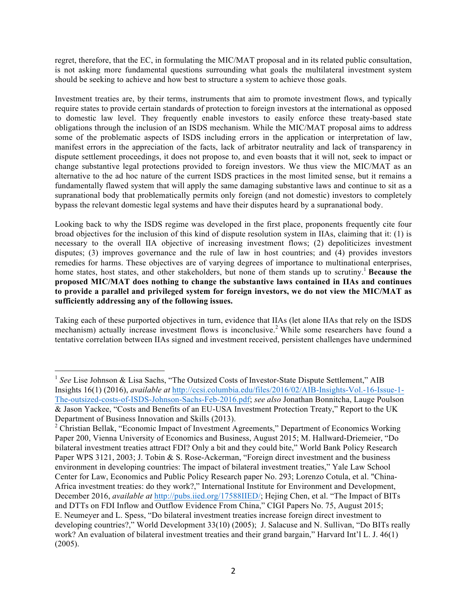regret, therefore, that the EC, in formulating the MIC/MAT proposal and in its related public consultation, is not asking more fundamental questions surrounding what goals the multilateral investment system should be seeking to achieve and how best to structure a system to achieve those goals.

Investment treaties are, by their terms, instruments that aim to promote investment flows, and typically require states to provide certain standards of protection to foreign investors at the international as opposed to domestic law level. They frequently enable investors to easily enforce these treaty-based state obligations through the inclusion of an ISDS mechanism. While the MIC/MAT proposal aims to address some of the problematic aspects of ISDS including errors in the application or interpretation of law, manifest errors in the appreciation of the facts, lack of arbitrator neutrality and lack of transparency in dispute settlement proceedings, it does not propose to, and even boasts that it will not, seek to impact or change substantive legal protections provided to foreign investors. We thus view the MIC/MAT as an alternative to the ad hoc nature of the current ISDS practices in the most limited sense, but it remains a fundamentally flawed system that will apply the same damaging substantive laws and continue to sit as a supranational body that problematically permits only foreign (and not domestic) investors to completely bypass the relevant domestic legal systems and have their disputes heard by a supranational body.

Looking back to why the ISDS regime was developed in the first place, proponents frequently cite four broad objectives for the inclusion of this kind of dispute resolution system in IIAs, claiming that it: (1) is necessary to the overall IIA objective of increasing investment flows; (2) depoliticizes investment disputes; (3) improves governance and the rule of law in host countries; and (4) provides investors remedies for harms. These objectives are of varying degrees of importance to multinational enterprises, home states, host states, and other stakeholders, but none of them stands up to scrutiny. <sup>1</sup> **Because the proposed MIC/MAT does nothing to change the substantive laws contained in IIAs and continues to provide a parallel and privileged system for foreign investors, we do not view the MIC/MAT as sufficiently addressing any of the following issues.** 

Taking each of these purported objectives in turn, evidence that IIAs (let alone IIAs that rely on the ISDS mechanism) actually increase investment flows is inconclusive.<sup>2</sup> While some researchers have found a tentative correlation between IIAs signed and investment received, persistent challenges have undermined

<sup>&</sup>lt;sup>1</sup> See Lise Johnson & Lisa Sachs, "The Outsized Costs of Investor-State Dispute Settlement," AIB Insights 16(1) (2016), *available at* http://ccsi.columbia.edu/files/2016/02/AIB-Insights-Vol.-16-Issue-1- The-outsized-costs-of-ISDS-Johnson-Sachs-Feb-2016.pdf; *see also* Jonathan Bonnitcha, Lauge Poulson & Jason Yackee, "Costs and Benefits of an EU-USA Investment Protection Treaty," Report to the UK Department of Business Innovation and Skills (2013).

 $2$  Christian Bellak, "Economic Impact of Investment Agreements," Department of Economics Working Paper 200, Vienna University of Economics and Business, August 2015; M. Hallward-Driemeier, "Do bilateral investment treaties attract FDI? Only a bit and they could bite," World Bank Policy Research Paper WPS 3121, 2003; J. Tobin & S. Rose-Ackerman, "Foreign direct investment and the business environment in developing countries: The impact of bilateral investment treaties," Yale Law School Center for Law, Economics and Public Policy Research paper No. 293; Lorenzo Cotula, et al. "China-Africa investment treaties: do they work?," International Institute for Environment and Development, December 2016, *available at* http://pubs.iied.org/17588IIED/; Hejing Chen, et al. "The Impact of BITs and DTTs on FDI Inflow and Outflow Evidence From China," CIGI Papers No. 75, August 2015; E. Neumeyer and L. Spess, "Do bilateral investment treaties increase foreign direct investment to developing countries?," World Development 33(10) (2005); J. Salacuse and N. Sullivan, "Do BITs really work? An evaluation of bilateral investment treaties and their grand bargain," Harvard Int'l L. J. 46(1) (2005).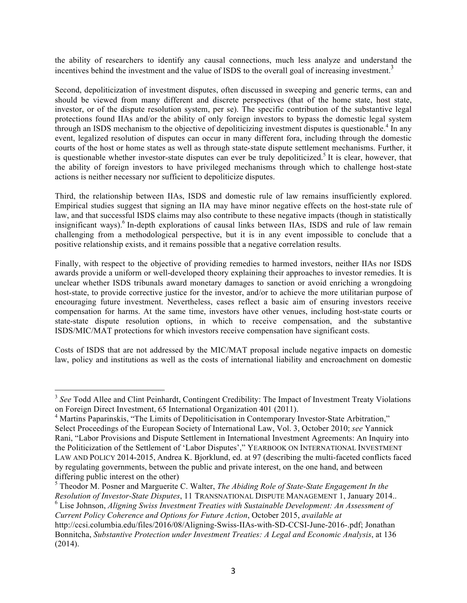the ability of researchers to identify any causal connections, much less analyze and understand the incentives behind the investment and the value of ISDS to the overall goal of increasing investment.<sup>3</sup>

Second, depoliticization of investment disputes, often discussed in sweeping and generic terms, can and should be viewed from many different and discrete perspectives (that of the home state, host state, investor, or of the dispute resolution system, per se). The specific contribution of the substantive legal protections found IIAs and/or the ability of only foreign investors to bypass the domestic legal system through an ISDS mechanism to the objective of depoliticizing investment disputes is questionable.<sup>4</sup> In any event, legalized resolution of disputes can occur in many different fora, including through the domestic courts of the host or home states as well as through state-state dispute settlement mechanisms. Further, it is questionable whether investor-state disputes can ever be truly depoliticized.<sup>5</sup> It is clear, however, that the ability of foreign investors to have privileged mechanisms through which to challenge host-state actions is neither necessary nor sufficient to depoliticize disputes.

Third, the relationship between IIAs, ISDS and domestic rule of law remains insufficiently explored. Empirical studies suggest that signing an IIA may have minor negative effects on the host-state rule of law, and that successful ISDS claims may also contribute to these negative impacts (though in statistically insignificant ways).<sup>6</sup> In-depth explorations of causal links between IIAs, ISDS and rule of law remain challenging from a methodological perspective, but it is in any event impossible to conclude that a positive relationship exists, and it remains possible that a negative correlation results.

Finally, with respect to the objective of providing remedies to harmed investors, neither IIAs nor ISDS awards provide a uniform or well-developed theory explaining their approaches to investor remedies. It is unclear whether ISDS tribunals award monetary damages to sanction or avoid enriching a wrongdoing host-state, to provide corrective justice for the investor, and/or to achieve the more utilitarian purpose of encouraging future investment. Nevertheless, cases reflect a basic aim of ensuring investors receive compensation for harms. At the same time, investors have other venues, including host-state courts or state-state dispute resolution options, in which to receive compensation, and the substantive ISDS/MIC/MAT protections for which investors receive compensation have significant costs.

Costs of ISDS that are not addressed by the MIC/MAT proposal include negative impacts on domestic law, policy and institutions as well as the costs of international liability and encroachment on domestic

<sup>6</sup> Lise Johnson, *Aligning Swiss Investment Treaties with Sustainable Development: An Assessment of Current Policy Coherence and Options for Future Action*, October 2015, *available at* 

<sup>&</sup>lt;sup>3</sup> See Todd Allee and Clint Peinhardt, Contingent Credibility: The Impact of Investment Treaty Violations on Foreign Direct Investment, 65 International Organization 401 (2011).

<sup>&</sup>lt;sup>4</sup> Martins Paparinskis, "The Limits of Depoliticisation in Contemporary Investor-State Arbitration," Select Proceedings of the European Society of International Law, Vol. 3, October 2010; *see* Yannick Rani, "Labor Provisions and Dispute Settlement in International Investment Agreements: An Inquiry into the Politicization of the Settlement of 'Labor Disputes'," YEARBOOK ON INTERNATIONAL INVESTMENT LAW AND POLICY 2014-2015, Andrea K. Bjorklund, ed. at 97 (describing the multi-faceted conflicts faced by regulating governments, between the public and private interest, on the one hand, and between differing public interest on the other)

<sup>5</sup> Theodor M. Posner and Marguerite C. Walter, *The Abiding Role of State-State Engagement In the Resolution of Investor-State Disputes*, 11 TRANSNATIONAL DISPUTE MANAGEMENT 1, January 2014..

http://ccsi.columbia.edu/files/2016/08/Aligning-Swiss-IIAs-with-SD-CCSI-June-2016-.pdf; Jonathan Bonnitcha, *Substantive Protection under Investment Treaties: A Legal and Economic Analysis*, at 136 (2014).